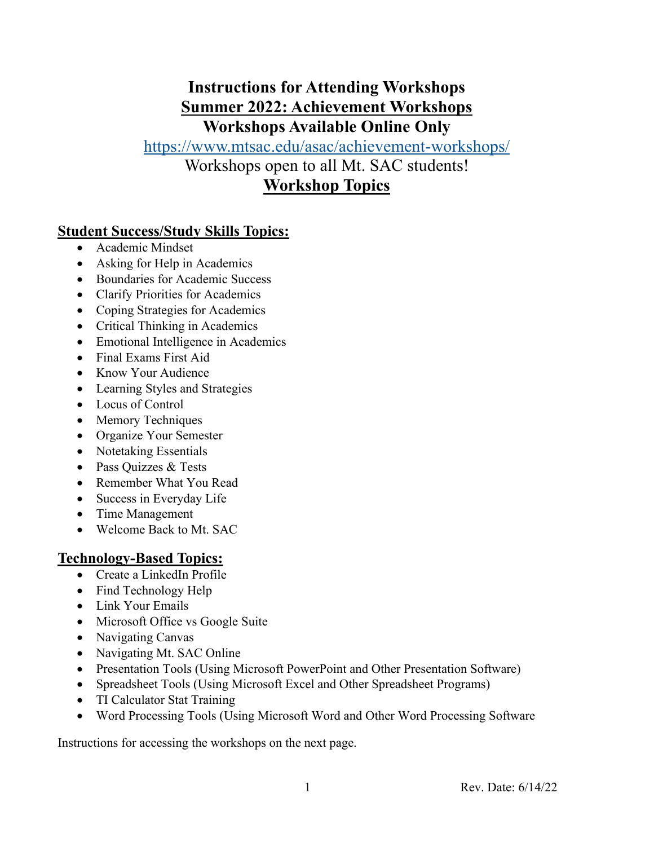### **Instructions for Attending Workshops Summer 2022: Achievement Workshops Workshops Available Online Only**

# <https://www.mtsac.edu/asac/achievement-workshops/>

Workshops open to all Mt. SAC students!

### **Workshop Topics**

#### **Student Success/Study Skills Topics:**

- Academic Mindset
- Asking for Help in Academics
- Boundaries for Academic Success
- Clarify Priorities for Academics
- Coping Strategies for Academics
- Critical Thinking in Academics
- Emotional Intelligence in Academics
- Final Exams First Aid
- Know Your Audience
- Learning Styles and Strategies
- Locus of Control
- Memory Techniques
- Organize Your Semester
- Notetaking Essentials
- Pass Ouizzes & Tests
- Remember What You Read
- Success in Everyday Life
- Time Management
- Welcome Back to Mt. SAC

#### **Technology-Based Topics:**

- Create a LinkedIn Profile
- Find Technology Help
- Link Your Emails
- Microsoft Office vs Google Suite
- Navigating Canvas
- Navigating Mt. SAC Online
- Presentation Tools (Using Microsoft PowerPoint and Other Presentation Software)
- Spreadsheet Tools (Using Microsoft Excel and Other Spreadsheet Programs)
- TI Calculator Stat Training
- Word Processing Tools (Using Microsoft Word and Other Word Processing Software

Instructions for accessing the workshops on the next page.